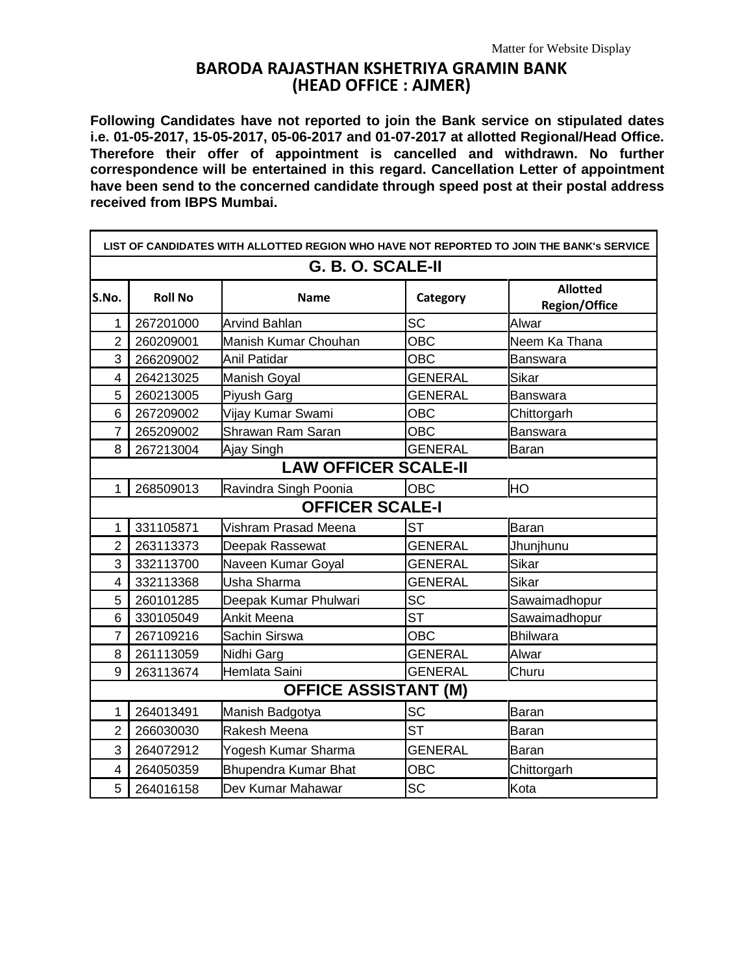## **BARODA RAJASTHAN KSHETRIYA GRAMIN BANK (HEAD OFFICE : AJMER)**

**Following Candidates have not reported to join the Bank service on stipulated dates i.e. 01-05-2017, 15-05-2017, 05-06-2017 and 01-07-2017 at allotted Regional/Head Office. Therefore their offer of appointment is cancelled and withdrawn. No further correspondence will be entertained in this regard. Cancellation Letter of appointment have been send to the concerned candidate through speed post at their postal address received from IBPS Mumbai.**

| LIST OF CANDIDATES WITH ALLOTTED REGION WHO HAVE NOT REPORTED TO JOIN THE BANK's SERVICE |                |                             |                |                                         |  |  |  |
|------------------------------------------------------------------------------------------|----------------|-----------------------------|----------------|-----------------------------------------|--|--|--|
| G. B. O. SCALE-II                                                                        |                |                             |                |                                         |  |  |  |
| S.No.                                                                                    | <b>Roll No</b> | <b>Name</b>                 | Category       | <b>Allotted</b><br><b>Region/Office</b> |  |  |  |
| 1                                                                                        | 267201000      | <b>Arvind Bahlan</b>        | <b>SC</b>      | Alwar                                   |  |  |  |
| $\overline{2}$                                                                           | 260209001      | Manish Kumar Chouhan        | OBC            | Neem Ka Thana                           |  |  |  |
| 3                                                                                        | 266209002      | <b>Anil Patidar</b>         | <b>OBC</b>     | <b>Banswara</b>                         |  |  |  |
| 4                                                                                        | 264213025      | Manish Goyal                | <b>GENERAL</b> | Sikar                                   |  |  |  |
| 5                                                                                        | 260213005      | Piyush Garg                 | <b>GENERAL</b> | <b>Banswara</b>                         |  |  |  |
| 6                                                                                        | 267209002      | Vijay Kumar Swami           | <b>OBC</b>     | Chittorgarh                             |  |  |  |
| $\overline{7}$                                                                           | 265209002      | Shrawan Ram Saran           | <b>OBC</b>     | Banswara                                |  |  |  |
| 8                                                                                        | 267213004      | Ajay Singh                  | <b>GENERAL</b> | Baran                                   |  |  |  |
| <b>LAW OFFICER SCALE-II</b>                                                              |                |                             |                |                                         |  |  |  |
| 1                                                                                        | 268509013      | Ravindra Singh Poonia       | <b>OBC</b>     | HO                                      |  |  |  |
| <b>OFFICER SCALE-I</b>                                                                   |                |                             |                |                                         |  |  |  |
| 1                                                                                        | 331105871      | Vishram Prasad Meena        | <b>ST</b>      | Baran                                   |  |  |  |
| $\overline{2}$                                                                           | 263113373      | Deepak Rassewat             | <b>GENERAL</b> | Jhunjhunu                               |  |  |  |
| 3                                                                                        | 332113700      | Naveen Kumar Goyal          | <b>GENERAL</b> | Sikar                                   |  |  |  |
| $\overline{4}$                                                                           | 332113368      | Usha Sharma                 | <b>GENERAL</b> | Sikar                                   |  |  |  |
| 5                                                                                        | 260101285      | Deepak Kumar Phulwari       | <b>SC</b>      | Sawaimadhopur                           |  |  |  |
| 6                                                                                        | 330105049      | <b>Ankit Meena</b>          | <b>ST</b>      | Sawaimadhopur                           |  |  |  |
| $\overline{7}$                                                                           | 267109216      | Sachin Sirswa               | <b>OBC</b>     | <b>Bhilwara</b>                         |  |  |  |
| 8                                                                                        | 261113059      | Nidhi Garg                  | <b>GENERAL</b> | Alwar                                   |  |  |  |
| 9                                                                                        | 263113674      | Hemlata Saini               | <b>GENERAL</b> | Churu                                   |  |  |  |
| <b>OFFICE ASSISTANT (M)</b>                                                              |                |                             |                |                                         |  |  |  |
| 1                                                                                        | 264013491      | Manish Badgotya             | <b>SC</b>      | Baran                                   |  |  |  |
| $\overline{2}$                                                                           | 266030030      | Rakesh Meena                | <b>ST</b>      | Baran                                   |  |  |  |
| 3                                                                                        | 264072912      | Yogesh Kumar Sharma         | <b>GENERAL</b> | Baran                                   |  |  |  |
| $\overline{4}$                                                                           | 264050359      | <b>Bhupendra Kumar Bhat</b> | <b>OBC</b>     | Chittorgarh                             |  |  |  |
| 5                                                                                        | 264016158      | Dev Kumar Mahawar           | <b>SC</b>      | Kota                                    |  |  |  |